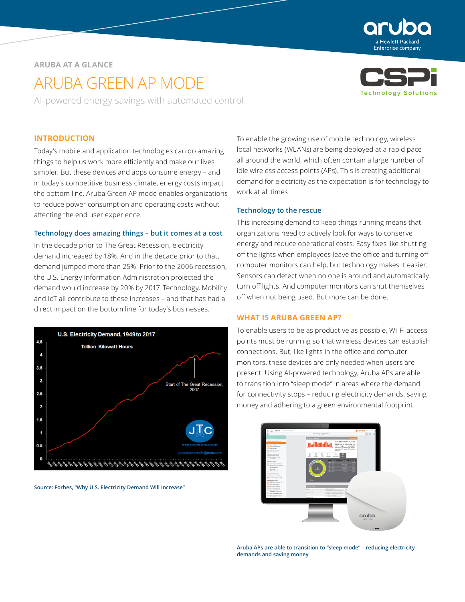

# **ARUBA AT A GLANCE**

# ARUBA GREEN AP MODE

AI-powered energy savings with automated control



## **INTRODUCTION**

Today's mobile and application technologies can do amazing things to help us work more efficiently and make our lives simpler. But these devices and apps consume energy – and in today's competitive business climate, energy costs impact the bottom line. Aruba Green AP mode enables organizations to reduce power consumption and operating costs without affecting the end user experience.

#### **Technology does amazing things – but it comes at a cost**

In the decade prior to The Great Recession, electricity demand increased by 18%. And in the decade prior to that, demand jumped more than 25%. Prior to the 2006 recession, the U.S. Energy Information Administration projected the demand would increase by 20% by 2017. Technology, Mobility and IoT all contribute to these increases – and that has had a direct impact on the bottom line for today's businesses.



**Source: Forbes, "Why U.S. Electricity Demand Will Increase"**

To enable the growing use of mobile technology, wireless local networks (WLANs) are being deployed at a rapid pace all around the world, which often contain a large number of idle wireless access points (APs). This is creating additional demand for electricity as the expectation is for technology to work at all times.

#### **Technology to the rescue**

This increasing demand to keep things running means that organizations need to actively look for ways to conserve energy and reduce operational costs. Easy fixes like shutting off the lights when employees leave the office and turning off computer monitors can help, but technology makes it easier. Sensors can detect when no one is around and automatically turn off lights. And computer monitors can shut themselves off when not being used. But more can be done.

## **WHAT IS ARUBA GREEN AP?**

To enable users to be as productive as possible, Wi-Fi access points must be running so that wireless devices can establish connections. But, like lights in the office and computer monitors, these devices are only needed when users are present. Using AI-powered technology, Aruba APs are able to transition into "sleep mode" in areas where the demand for connectivity stops – reducing electricity demands, saving money and adhering to a green environmental footprint.



**Aruba APs are able to transition to "sleep mode" – reducing electricity demands and saving money**